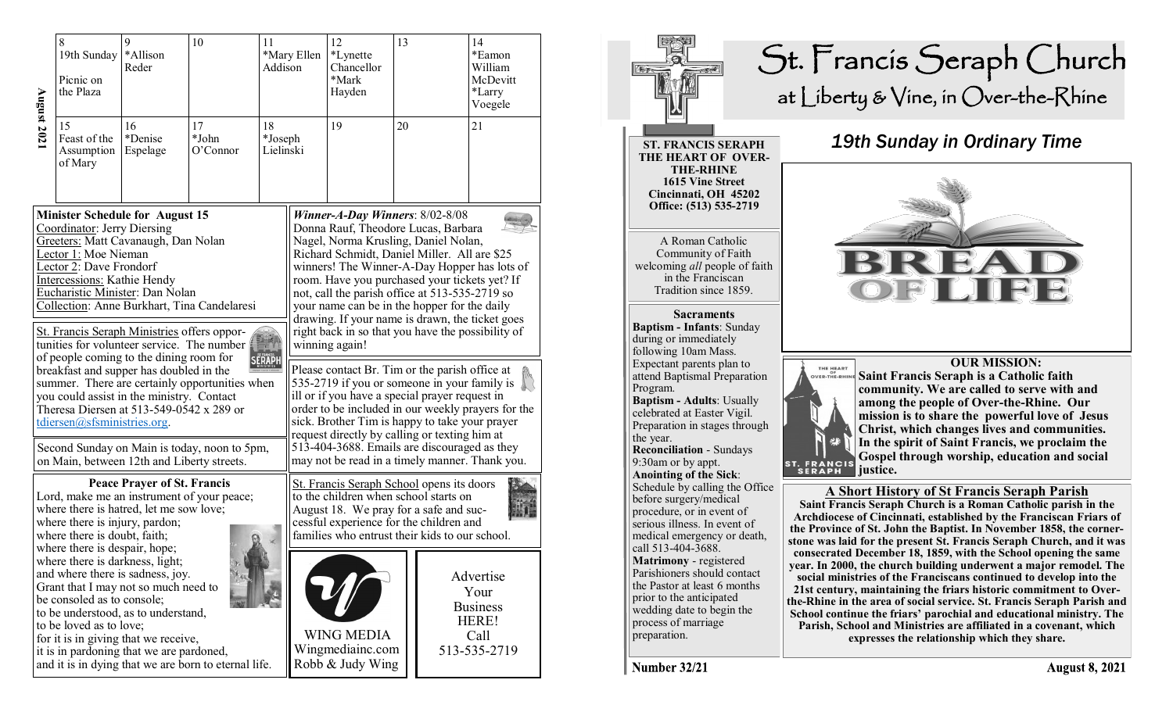| <b>August 2021</b>                                                                                                                                                                                                                                                                                                                                                                                                                                                                                                                                                                                                                                                                                                                                    | 8<br>9<br>10<br>11<br>*Allison<br>19th Sunday<br>Reder<br>Picnic on<br>the Plaza |                           | Addison                 | *Mary Ellen                | 12<br>*Lynette<br>Chancellor<br>*Mark<br>Hayden                                                                                                                                                                                                                                                                                                                                                                                                                                                    | 13 |              | 14<br>*Eamon<br>William<br>McDevitt<br>*Larry<br>Voegele |
|-------------------------------------------------------------------------------------------------------------------------------------------------------------------------------------------------------------------------------------------------------------------------------------------------------------------------------------------------------------------------------------------------------------------------------------------------------------------------------------------------------------------------------------------------------------------------------------------------------------------------------------------------------------------------------------------------------------------------------------------------------|----------------------------------------------------------------------------------|---------------------------|-------------------------|----------------------------|----------------------------------------------------------------------------------------------------------------------------------------------------------------------------------------------------------------------------------------------------------------------------------------------------------------------------------------------------------------------------------------------------------------------------------------------------------------------------------------------------|----|--------------|----------------------------------------------------------|
|                                                                                                                                                                                                                                                                                                                                                                                                                                                                                                                                                                                                                                                                                                                                                       | 15<br>Feast of the<br>Assumption<br>of Mary                                      | 16<br>*Denise<br>Espelage | 17<br>*John<br>O'Connor | 18<br>*Joseph<br>Lielinski |                                                                                                                                                                                                                                                                                                                                                                                                                                                                                                    | 19 | 20           |                                                          |
| <b>Minister Schedule for August 15</b><br>Coordinator: Jerry Diersing<br>Greeters: Matt Cavanaugh, Dan Nolan<br>Lector 1: Moe Nieman<br>Lector 2: Dave Frondorf<br>Intercessions: Kathie Hendy<br>Eucharistic Minister: Dan Nolan<br>Collection: Anne Burkhart, Tina Candelaresi<br>St. Francis Seraph Ministries offers oppor-<br>tunities for volunteer service. The number<br>of people coming to the dining room for<br>SERAPH<br>breakfast and supper has doubled in the<br>summer. There are certainly opportunities when<br>you could assist in the ministry. Contact<br>Theresa Diersen at 513-549-0542 x 289 or<br>tdiersen@sfsministries.org.<br>Second Sunday on Main is today, noon to 5pm,<br>on Main, between 12th and Liberty streets. |                                                                                  |                           |                         |                            | <b>Winner-A-Day Winners: 8/02-8/08</b><br>Donna Rauf, Theodore Lucas, Barbara<br>Nagel, Norma Krusling, Daniel Nolan,<br>Richard Schmidt, Daniel Miller. All are \$25<br>winners! The Winner-A-Day Hopper has lots of<br>room. Have you purchased your tickets yet? If<br>not, call the parish office at 513-535-2719 so<br>your name can be in the hopper for the daily<br>drawing. If your name is drawn, the ticket goes<br>right back in so that you have the possibility of<br>winning again! |    |              |                                                          |
|                                                                                                                                                                                                                                                                                                                                                                                                                                                                                                                                                                                                                                                                                                                                                       |                                                                                  |                           |                         |                            | Please contact Br. Tim or the parish office at<br>535-2719 if you or someone in your family is<br>ill or if you have a special prayer request in<br>order to be included in our weekly prayers for the<br>sick. Brother Tim is happy to take your prayer<br>request directly by calling or texting him at                                                                                                                                                                                          |    |              |                                                          |
|                                                                                                                                                                                                                                                                                                                                                                                                                                                                                                                                                                                                                                                                                                                                                       |                                                                                  |                           |                         |                            | 513-404-3688. Emails are discouraged as they<br>may not be read in a timely manner. Thank you.                                                                                                                                                                                                                                                                                                                                                                                                     |    |              |                                                          |
| <b>Peace Prayer of St. Francis</b><br>Lord, make me an instrument of your peace;<br>where there is hatred, let me sow love;<br>where there is injury, pardon;<br>where there is doubt, faith;<br>$\Omega$                                                                                                                                                                                                                                                                                                                                                                                                                                                                                                                                             |                                                                                  |                           |                         |                            | St. Francis Seraph School opens its doors<br>to the children when school starts on<br>August 18. We pray for a safe and suc-<br>cessful experience for the children and<br>families who entrust their kids to our school.                                                                                                                                                                                                                                                                          |    |              |                                                          |
| where there is despair, hope;<br>where there is darkness, light;<br>and where there is sadness, joy.<br>Grant that I may not so much need to<br>be consoled as to console;<br>to be understood, as to understand,<br>to be loved as to love;<br>for it is in giving that we receive,<br>it is in pardoning that we are pardoned,<br>and it is in dying that we are born to eternal life.                                                                                                                                                                                                                                                                                                                                                              |                                                                                  |                           |                         |                            | <b>WING MEDIA</b><br>Wingmediainc.com                                                                                                                                                                                                                                                                                                                                                                                                                                                              |    | 513-535-2719 | Advertise<br>Your<br><b>Business</b><br>HERE!<br>Call    |